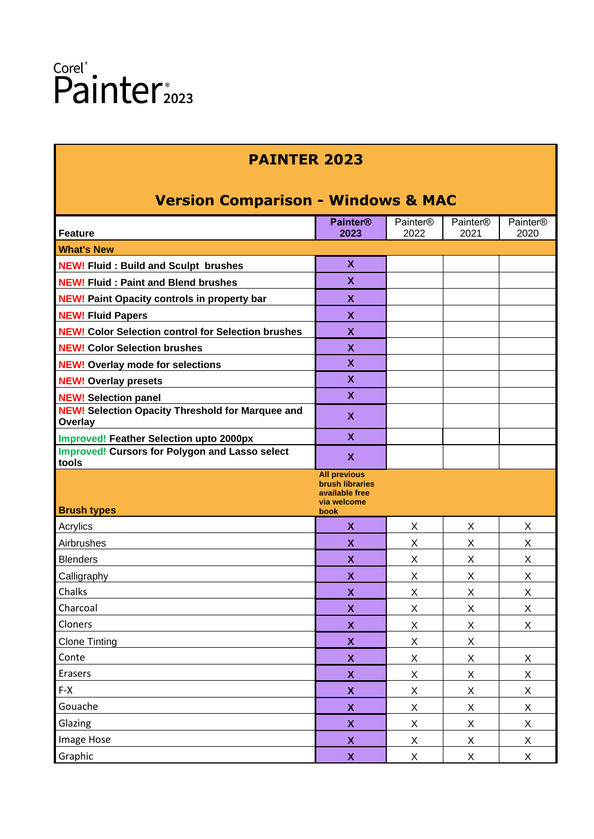#### **PAINTER 2023**

#### **Version Comparison - Windows & MAC**

| <u>VEISIUII CUIIIDAIISUII - WIIIUUWS &amp; MAC</u>              |                                                                                                                                                                 |                      |                                |  |  |  |
|-----------------------------------------------------------------|-----------------------------------------------------------------------------------------------------------------------------------------------------------------|----------------------|--------------------------------|--|--|--|
| <b>Painter®</b>                                                 | Painter®                                                                                                                                                        | Painter <sup>®</sup> | Painter <sup>®</sup>           |  |  |  |
|                                                                 |                                                                                                                                                                 |                      | 2020                           |  |  |  |
|                                                                 |                                                                                                                                                                 |                      |                                |  |  |  |
|                                                                 |                                                                                                                                                                 |                      |                                |  |  |  |
| $\boldsymbol{\mathsf{X}}$                                       |                                                                                                                                                                 |                      |                                |  |  |  |
| $\boldsymbol{\mathsf{X}}$                                       |                                                                                                                                                                 |                      |                                |  |  |  |
| $\boldsymbol{\mathsf{X}}$                                       |                                                                                                                                                                 |                      |                                |  |  |  |
| $\boldsymbol{\mathsf{X}}$                                       |                                                                                                                                                                 |                      |                                |  |  |  |
| $\boldsymbol{\mathsf{X}}$                                       |                                                                                                                                                                 |                      |                                |  |  |  |
| $\boldsymbol{\mathsf{X}}$                                       |                                                                                                                                                                 |                      |                                |  |  |  |
| $\mathbf{x}$                                                    |                                                                                                                                                                 |                      |                                |  |  |  |
| $\boldsymbol{\mathsf{X}}$                                       |                                                                                                                                                                 |                      |                                |  |  |  |
| $\mathbf x$                                                     |                                                                                                                                                                 |                      |                                |  |  |  |
| $\boldsymbol{\mathsf{X}}$                                       |                                                                                                                                                                 |                      |                                |  |  |  |
| $\mathbf x$                                                     |                                                                                                                                                                 |                      |                                |  |  |  |
| <b>brush libraries</b><br>available free<br>via welcome<br>book |                                                                                                                                                                 |                      |                                |  |  |  |
| X                                                               | X                                                                                                                                                               | X                    | X                              |  |  |  |
| X                                                               | X                                                                                                                                                               | X                    | X                              |  |  |  |
| $\boldsymbol{\mathsf{X}}$                                       | X                                                                                                                                                               | X                    | X                              |  |  |  |
| X                                                               | X                                                                                                                                                               | X                    | X                              |  |  |  |
| X                                                               | X                                                                                                                                                               | X                    | X                              |  |  |  |
| $\boldsymbol{\mathsf{X}}$                                       | X                                                                                                                                                               | X                    | X                              |  |  |  |
| X                                                               | X                                                                                                                                                               | X                    | X                              |  |  |  |
| X                                                               | X                                                                                                                                                               | X                    |                                |  |  |  |
|                                                                 |                                                                                                                                                                 |                      | X                              |  |  |  |
|                                                                 | X                                                                                                                                                               | X                    | X                              |  |  |  |
| $\pmb{\mathsf{X}}$                                              | X                                                                                                                                                               | X                    | $\mathsf X$                    |  |  |  |
| $\boldsymbol{\mathsf{X}}$                                       | $\mathsf{X}$                                                                                                                                                    | $\mathsf X$          | X                              |  |  |  |
|                                                                 |                                                                                                                                                                 |                      | X                              |  |  |  |
|                                                                 |                                                                                                                                                                 |                      | $\mathsf{X}$                   |  |  |  |
| $\boldsymbol{\mathsf{X}}$                                       | X                                                                                                                                                               | $\mathsf{X}$         | $\mathsf{X}$                   |  |  |  |
|                                                                 | 2023<br>$\boldsymbol{\mathsf{X}}$<br><b>All previous</b><br>$\boldsymbol{\mathsf{X}}$<br>$\boldsymbol{\mathsf{X}}$<br>$\boldsymbol{\mathsf{X}}$<br>$\mathbf{X}$ | 2022<br>X<br>X<br>X  | 2021<br>X<br>X<br>$\mathsf{X}$ |  |  |  |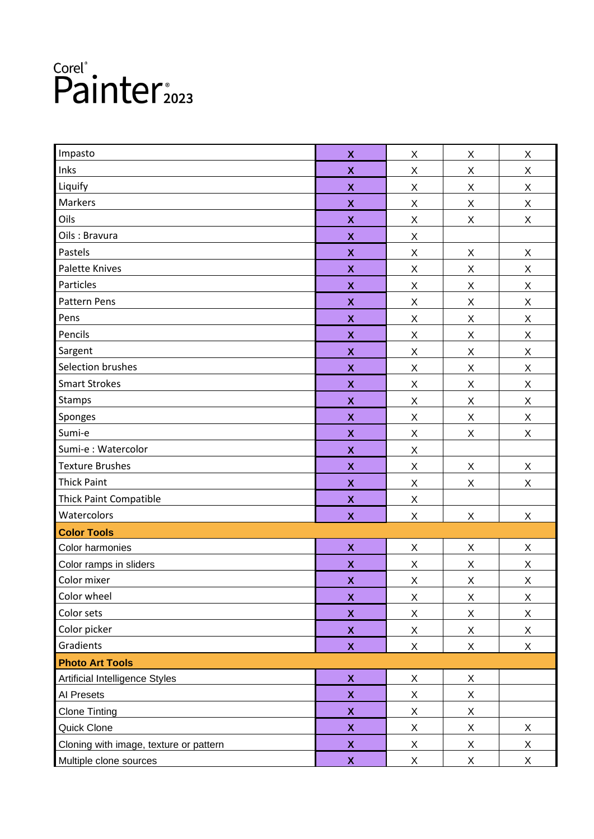| Impasto                                | $\boldsymbol{\mathsf{X}}$ | X           | X                         | X           |
|----------------------------------------|---------------------------|-------------|---------------------------|-------------|
| Inks                                   | $\boldsymbol{\mathsf{X}}$ | Χ           | Χ                         | X           |
| Liquify                                | $\pmb{\mathsf{X}}$        | $\mathsf X$ | $\sf X$                   | Χ           |
| Markers                                | $\boldsymbol{\mathsf{X}}$ | X           | $\pmb{\times}$            | X           |
| Oils                                   | $\pmb{\mathsf{X}}$        | X           | X                         | Χ           |
| Oils: Bravura                          | $\pmb{\mathsf{X}}$        | Χ           |                           |             |
| Pastels                                | $\boldsymbol{\mathsf{X}}$ | $\mathsf X$ | $\pmb{\times}$            | Χ           |
| <b>Palette Knives</b>                  | $\pmb{\mathsf{X}}$        | X           | X                         | Χ           |
| Particles                              | $\pmb{\mathsf{X}}$        | X           | X                         | Χ           |
| Pattern Pens                           | $\pmb{\mathsf{X}}$        | Χ           | $\mathsf X$               | X           |
| Pens                                   | $\pmb{\mathsf{X}}$        | X           | $\sf X$                   | Χ           |
| Pencils                                | $\pmb{\mathsf{X}}$        | X           | $\pmb{\times}$            | X           |
| Sargent                                | $\pmb{\mathsf{X}}$        | X           | $\pmb{\times}$            | Χ           |
| Selection brushes                      | $\pmb{\mathsf{X}}$        | Χ           | $\pmb{\times}$            | Χ           |
| <b>Smart Strokes</b>                   | $\boldsymbol{\mathsf{X}}$ | $\mathsf X$ | $\boldsymbol{\mathsf{X}}$ | X           |
| Stamps                                 | $\pmb{\mathsf{X}}$        | X           | $\pmb{\times}$            | X           |
| Sponges                                | $\pmb{\mathsf{X}}$        | X           | $\pmb{\times}$            | Χ           |
| Sumi-e                                 | $\pmb{\mathsf{X}}$        | Χ           | $\mathsf X$               | Χ           |
| Sumi-e : Watercolor                    | $\pmb{\mathsf{X}}$        | X           |                           |             |
| <b>Texture Brushes</b>                 | X                         | X           | X                         | X           |
| <b>Thick Paint</b>                     | $\pmb{\mathsf{X}}$        | X           | $\mathsf X$               | Χ           |
| <b>Thick Paint Compatible</b>          | $\pmb{\mathsf{X}}$        | Χ           |                           |             |
| Watercolors                            | $\boldsymbol{\mathsf{X}}$ | $\mathsf X$ | $\pmb{\times}$            | X           |
| <b>Color Tools</b>                     |                           |             |                           |             |
| Color harmonies                        | $\boldsymbol{\mathsf{x}}$ | X           | X                         | Χ           |
| Color ramps in sliders                 | $\boldsymbol{\mathsf{X}}$ | X           | X                         | Χ           |
| Color mixer                            | $\boldsymbol{\mathsf{X}}$ | X           | $\sf X$                   | Χ           |
| Color wheel                            | $\pmb{\mathsf{X}}$        | X           | $\boldsymbol{\mathsf{X}}$ | X           |
| Color sets                             | $\pmb{\mathsf{X}}$        | X           | X                         | X           |
| Color picker                           | $\pmb{\mathsf{X}}$        | X           | $\mathsf X$               | Χ           |
| Gradients                              | $\boldsymbol{\mathsf{X}}$ | X           | X                         | X           |
| <b>Photo Art Tools</b>                 |                           |             |                           |             |
| Artificial Intelligence Styles         | $\pmb{\mathsf{X}}$        | X           | X                         |             |
| Al Presets                             | $\pmb{\mathsf{X}}$        | X           | X                         |             |
| <b>Clone Tinting</b>                   | $\boldsymbol{\mathsf{X}}$ | X           | X                         |             |
| Quick Clone                            | $\boldsymbol{\mathsf{X}}$ | X           | X                         | X           |
| Cloning with image, texture or pattern | $\pmb{\mathsf{X}}$        | X           | $\overline{X}$            | $\mathsf X$ |
| Multiple clone sources                 | $\boldsymbol{\mathsf{X}}$ | X           | $\mathsf X$               | $\mathsf X$ |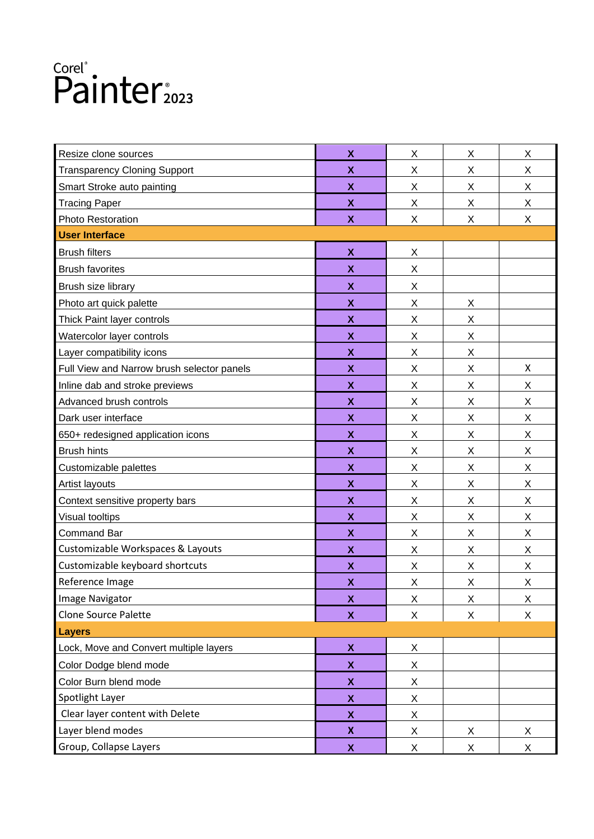| Resize clone sources                       | X                         | X | X | X |
|--------------------------------------------|---------------------------|---|---|---|
| <b>Transparency Cloning Support</b>        | $\boldsymbol{\mathsf{X}}$ | X | Χ | X |
| Smart Stroke auto painting                 | X                         | X | X | X |
| <b>Tracing Paper</b>                       | X                         | X | X | X |
| Photo Restoration                          | $\boldsymbol{\mathsf{x}}$ | X | Χ | X |
| <b>User Interface</b>                      |                           |   |   |   |
| <b>Brush filters</b>                       | X                         | X |   |   |
| <b>Brush favorites</b>                     | X                         | X |   |   |
| Brush size library                         | $\boldsymbol{\mathsf{x}}$ | X |   |   |
| Photo art quick palette                    | $\boldsymbol{\mathsf{x}}$ | X | X |   |
| Thick Paint layer controls                 | $\boldsymbol{\mathsf{X}}$ | X | Χ |   |
| Watercolor layer controls                  | X                         | X | X |   |
| Layer compatibility icons                  | X                         | X | X |   |
| Full View and Narrow brush selector panels | $\boldsymbol{\mathsf{x}}$ | X | Χ | X |
| Inline dab and stroke previews             | $\boldsymbol{\mathsf{X}}$ | Χ | X | X |
| Advanced brush controls                    | X                         | X | X | X |
| Dark user interface                        | X                         | X | X | X |
| 650+ redesigned application icons          | $\boldsymbol{\mathsf{x}}$ | X | Χ | X |
| <b>Brush hints</b>                         | $\boldsymbol{\mathsf{X}}$ | X | Χ | X |
| Customizable palettes                      | X                         | X | Χ | X |
| Artist layouts                             | X                         | X | X | X |
| Context sensitive property bars            | $\boldsymbol{\mathsf{X}}$ | X | Χ | X |
| Visual tooltips                            | $\boldsymbol{\mathsf{X}}$ | Χ | X | X |
| <b>Command Bar</b>                         | X                         | X | Χ | X |
| Customizable Workspaces & Layouts          | X                         | X | X | X |
| Customizable keyboard shortcuts            | $\boldsymbol{\mathsf{X}}$ | X | Χ | X |
| Reference Image                            | $\boldsymbol{\mathsf{X}}$ | X | X | X |
| Image Navigator                            | $\boldsymbol{\mathsf{X}}$ | X | X | Χ |
| <b>Clone Source Palette</b>                | $\boldsymbol{X}$          | X | X | X |
| <b>Layers</b>                              |                           |   |   |   |
| Lock, Move and Convert multiple layers     | $\boldsymbol{\mathsf{X}}$ | X |   |   |
| Color Dodge blend mode                     | $\boldsymbol{\mathsf{X}}$ | X |   |   |
| Color Burn blend mode                      | X                         | X |   |   |
| Spotlight Layer                            | $\pmb{\mathsf{X}}$        | X |   |   |
| Clear layer content with Delete            | $\pmb{\mathsf{X}}$        | X |   |   |
| Layer blend modes                          | $\boldsymbol{\mathsf{X}}$ | X | X | X |
| Group, Collapse Layers                     | $\boldsymbol{\mathsf{X}}$ | X | X | X |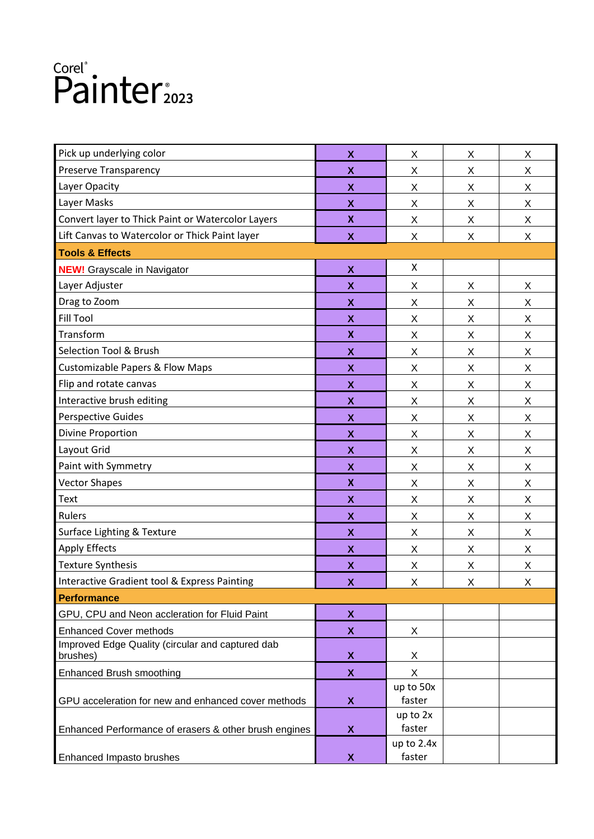| Pick up underlying color<br>Preserve Transparency            | $\boldsymbol{\mathsf{x}}$<br>$\boldsymbol{\mathsf{x}}$<br>$\boldsymbol{\mathsf{X}}$ | X<br>X               | X<br>Χ | Χ |
|--------------------------------------------------------------|-------------------------------------------------------------------------------------|----------------------|--------|---|
|                                                              |                                                                                     |                      |        |   |
|                                                              |                                                                                     |                      |        | X |
| Layer Opacity                                                |                                                                                     | Χ                    | X      | X |
| Layer Masks                                                  | X                                                                                   | X                    | Χ      | X |
| Convert layer to Thick Paint or Watercolor Layers            | $\boldsymbol{\mathsf{x}}$                                                           | X                    | X      | X |
| Lift Canvas to Watercolor or Thick Paint layer               | $\boldsymbol{\mathsf{X}}$                                                           | X                    | Χ      | X |
| <b>Tools &amp; Effects</b>                                   |                                                                                     |                      |        |   |
| <b>NEW!</b> Grayscale in Navigator                           | $\boldsymbol{\mathsf{X}}$                                                           | X                    |        |   |
| Layer Adjuster                                               | X                                                                                   | X                    | X      | Χ |
| Drag to Zoom                                                 | $\boldsymbol{\mathsf{X}}$                                                           | X                    | Χ      | X |
| <b>Fill Tool</b>                                             | $\boldsymbol{\mathsf{X}}$                                                           | X                    | X      | X |
| Transform                                                    | $\boldsymbol{\mathsf{x}}$                                                           | X                    | X      | X |
| <b>Selection Tool &amp; Brush</b>                            | X                                                                                   | X                    | X      | X |
| <b>Customizable Papers &amp; Flow Maps</b>                   | $\boldsymbol{\mathsf{X}}$                                                           | X                    | X      | X |
| Flip and rotate canvas                                       | $\boldsymbol{\mathsf{X}}$                                                           | X                    | X      | X |
| Interactive brush editing                                    | $\boldsymbol{\mathsf{X}}$                                                           | X                    | X      | X |
| <b>Perspective Guides</b>                                    | X                                                                                   | X                    | X      | X |
| <b>Divine Proportion</b>                                     | X                                                                                   | X                    | X      | Χ |
| Layout Grid                                                  | $\boldsymbol{\mathsf{X}}$                                                           | X                    | Χ      | X |
| Paint with Symmetry                                          | X                                                                                   | X                    | X      | X |
| <b>Vector Shapes</b>                                         | $\boldsymbol{\mathsf{x}}$                                                           | X                    | X      | Χ |
| Text                                                         | X                                                                                   | X                    | X      | X |
| Rulers                                                       | $\boldsymbol{\mathsf{X}}$                                                           | X                    | X      | X |
| Surface Lighting & Texture                                   | X                                                                                   | X                    | X      | X |
| <b>Apply Effects</b>                                         | X                                                                                   | X                    | X      | Χ |
| <b>Texture Synthesis</b>                                     | X                                                                                   | X                    | X      | Χ |
| Interactive Gradient tool & Express Painting                 | $\boldsymbol{\mathsf{x}}$                                                           | Χ                    | X      | X |
| <b>Performance</b>                                           |                                                                                     |                      |        |   |
| GPU, CPU and Neon accleration for Fluid Paint                | X                                                                                   |                      |        |   |
| <b>Enhanced Cover methods</b>                                | $\boldsymbol{\mathsf{x}}$                                                           | X                    |        |   |
| Improved Edge Quality (circular and captured dab<br>brushes) | X                                                                                   | X                    |        |   |
| <b>Enhanced Brush smoothing</b>                              | $\boldsymbol{\mathsf{x}}$                                                           | X                    |        |   |
| GPU acceleration for new and enhanced cover methods          | $\boldsymbol{\mathsf{X}}$                                                           | up to 50x<br>faster  |        |   |
| Enhanced Performance of erasers & other brush engines        | X                                                                                   | up to 2x<br>faster   |        |   |
| Enhanced Impasto brushes                                     | X                                                                                   | up to 2.4x<br>faster |        |   |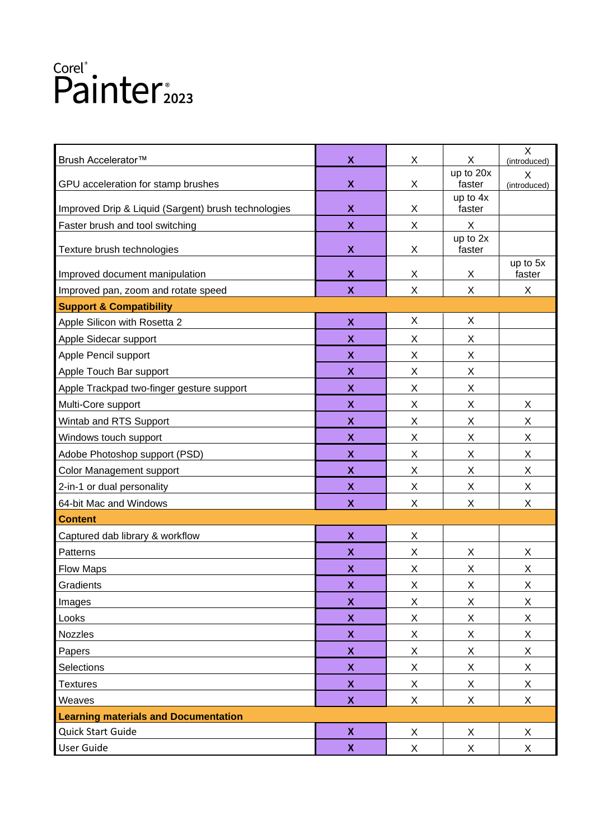| Brush Accelerator <sup>™</sup>                      | $\boldsymbol{\mathsf{x}}$ | X | X                         | X<br>(introduced)  |
|-----------------------------------------------------|---------------------------|---|---------------------------|--------------------|
|                                                     |                           |   | up to 20x                 | X                  |
| GPU acceleration for stamp brushes                  | $\boldsymbol{\mathsf{x}}$ | X | faster                    | (introduced)       |
| Improved Drip & Liquid (Sargent) brush technologies | $\boldsymbol{\mathsf{x}}$ | X | up to 4x<br>faster        |                    |
| Faster brush and tool switching                     | $\boldsymbol{\mathsf{x}}$ | X | $\boldsymbol{\mathsf{X}}$ |                    |
|                                                     |                           |   | up to 2x                  |                    |
| Texture brush technologies                          | $\boldsymbol{\mathsf{x}}$ | X | faster                    |                    |
| Improved document manipulation                      | $\boldsymbol{\mathsf{x}}$ | X | X                         | up to 5x<br>faster |
| Improved pan, zoom and rotate speed                 | $\boldsymbol{\mathsf{X}}$ | X | X                         | X                  |
| <b>Support &amp; Compatibility</b>                  |                           |   |                           |                    |
| Apple Silicon with Rosetta 2                        | $\pmb{\mathsf{X}}$        | X | X                         |                    |
| Apple Sidecar support                               | $\boldsymbol{\mathsf{x}}$ | X | X                         |                    |
| Apple Pencil support                                | $\boldsymbol{\mathsf{X}}$ | X | X                         |                    |
| Apple Touch Bar support                             | $\boldsymbol{\mathsf{x}}$ | X | X                         |                    |
| Apple Trackpad two-finger gesture support           | $\boldsymbol{\mathsf{X}}$ | X | X                         |                    |
| Multi-Core support                                  | $\boldsymbol{\mathsf{X}}$ | X | X                         | X                  |
| Wintab and RTS Support                              | X                         | X | X                         | X                  |
| Windows touch support                               | $\boldsymbol{\mathsf{x}}$ | X | Χ                         | X                  |
| Adobe Photoshop support (PSD)                       | $\boldsymbol{\mathsf{X}}$ | X | X                         | X                  |
| Color Management support                            | X                         | X | Χ                         | X                  |
| 2-in-1 or dual personality                          | $\boldsymbol{\mathsf{X}}$ | X | Χ                         | X                  |
| 64-bit Mac and Windows                              | $\boldsymbol{\mathsf{x}}$ | X | Χ                         | X                  |
| <b>Content</b>                                      |                           |   |                           |                    |
| Captured dab library & workflow                     | $\boldsymbol{\mathsf{X}}$ | X |                           |                    |
| Patterns                                            | X                         | X | X                         | X                  |
| <b>Flow Maps</b>                                    | $\pmb{\mathsf{X}}$        | X | Χ                         | X                  |
| Gradients                                           | $\boldsymbol{\mathsf{x}}$ | X | X                         | X                  |
| Images                                              | $\pmb{\mathsf{X}}$        | X | X                         | X                  |
| Looks                                               | $\boldsymbol{\mathsf{X}}$ | X | X                         | X                  |
| Nozzles                                             | $\boldsymbol{\mathsf{X}}$ | X | X                         | X                  |
| Papers                                              | $\boldsymbol{\mathsf{X}}$ | X | X                         | X                  |
| Selections                                          | $\pmb{\mathsf{X}}$        | X | X                         | X                  |
| <b>Textures</b>                                     | $\boldsymbol{\mathsf{X}}$ | X | X                         | X                  |
| Weaves                                              | $\boldsymbol{\mathsf{X}}$ | X | X                         | X                  |
| <b>Learning materials and Documentation</b>         |                           |   |                           |                    |
| Quick Start Guide                                   | $\boldsymbol{\mathsf{X}}$ | X | X                         | X                  |
| User Guide                                          | $\boldsymbol{\mathsf{x}}$ | X | X                         | X                  |